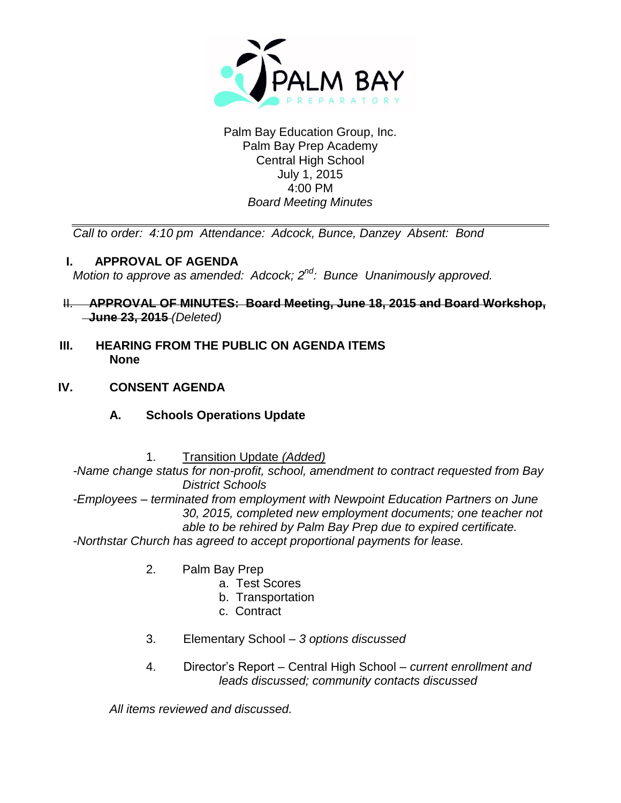

Palm Bay Education Group, Inc. Palm Bay Prep Academy Central High School July 1, 2015 4:00 PM *Board Meeting Minutes*

*Call to order: 4:10 pm Attendance: Adcock, Bunce, Danzey Absent: Bond*

# **I. APPROVAL OF AGENDA**

*Motion to approve as amended: Adcock; 2<sup>nd</sup>: Bunce Unanimously approved.* 

- II. **APPROVAL OF MINUTES: Board Meeting, June 18, 2015 and Board Workshop, June 23, 2015** *(Deleted)*
- **III. HEARING FROM THE PUBLIC ON AGENDA ITEMS None**
- **IV. CONSENT AGENDA**
	- **A. Schools Operations Update**
		- 1. Transition Update *(Added)*

*-Name change status for non-profit, school, amendment to contract requested from Bay District Schools* 

*-Employees – terminated from employment with Newpoint Education Partners on June 30, 2015, completed new employment documents; one teacher not able to be rehired by Palm Bay Prep due to expired certificate.*

*-Northstar Church has agreed to accept proportional payments for lease.*

- 2. Palm Bay Prep
	- a. Test Scores
	- b. Transportation
	- c. Contract
- 3. Elementary School *3 options discussed*
- 4. Director's Report Central High School *– current enrollment and leads discussed; community contacts discussed*

*All items reviewed and discussed.*